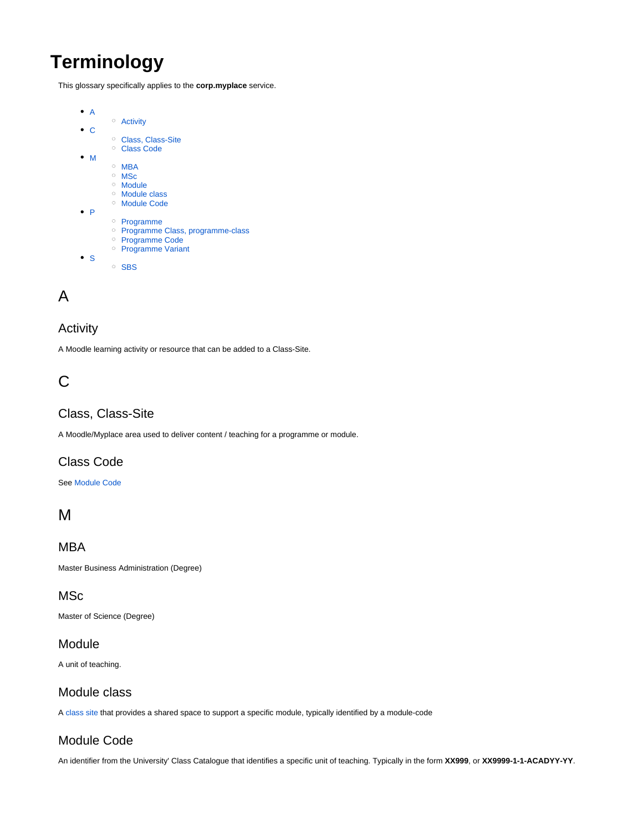# **Terminology**

This glossary specifically applies to the **corp.myplace** service.



## <span id="page-0-0"></span>A

### <span id="page-0-1"></span>**Activity**

A Moodle learning activity or resource that can be added to a Class-Site.

## <span id="page-0-2"></span>C

#### <span id="page-0-3"></span>Class, Class-Site

A Moodle/Myplace area used to deliver content / teaching for a programme or module.

## <span id="page-0-4"></span>Class Code

#### See Module Code

## <span id="page-0-5"></span>M

<span id="page-0-6"></span>MBA

Master Business Administration (Degree)

#### <span id="page-0-7"></span>**MSc**

Master of Science (Degree)

#### <span id="page-0-8"></span>Module

A unit of teaching.

#### <span id="page-0-9"></span>Module class

A [class site](http://wiki.lte.strath.ac.uk#class) that provides a shared space to support a specific module, typically identified by a module-code

### <span id="page-0-10"></span>Module Code

An identifier from the University' Class Catalogue that identifies a specific unit of teaching. Typically in the form **XX999**, or **XX9999-1-1-ACADYY-YY**.